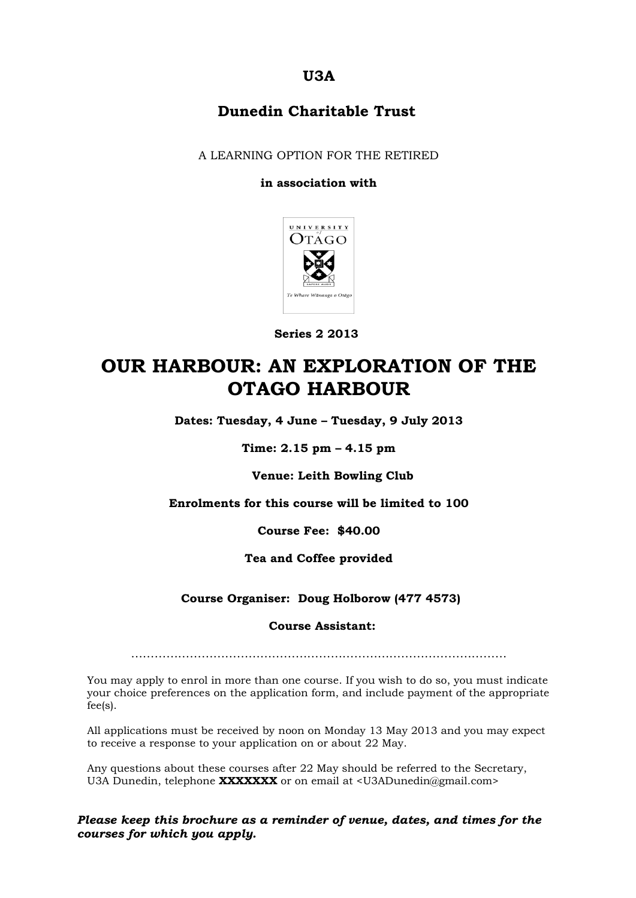### **U3A**

### **Dunedin Charitable Trust**

A LEARNING OPTION FOR THE RETIRED

#### **in association with**



 **Series 2 2013**

# **OUR HARBOUR: AN EXPLORATION OF THE OTAGO HARBOUR**

**Dates: Tuesday, 4 June – Tuesday, 9 July 2013**

**Time: 2.15 pm – 4.15 pm**

**Venue: Leith Bowling Club**

**Enrolments for this course will be limited to 100**

**Course Fee: \$40.00**

**Tea and Coffee provided**

**Course Organiser: Doug Holborow (477 4573)**

#### **Course Assistant:**

……………………………………………………………………………………

You may apply to enrol in more than one course. If you wish to do so, you must indicate your choice preferences on the application form, and include payment of the appropriate fee(s).

All applications must be received by noon on Monday 13 May 2013 and you may expect to receive a response to your application on or about 22 May.

Any questions about these courses after 22 May should be referred to the Secretary, U3A Dunedin, telephone **XXXXXXX** or on email at <U3ADunedin@gmail.com>

*Please keep this brochure as a reminder of venue, dates, and times for the courses for which you apply.*